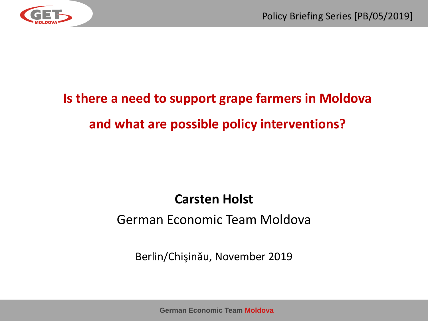

# **Is there a need to support grape farmers in Moldova and what are possible policy interventions?**

#### **Carsten Holst**

#### German Economic Team Moldova

Berlin/Chişinău, November 2019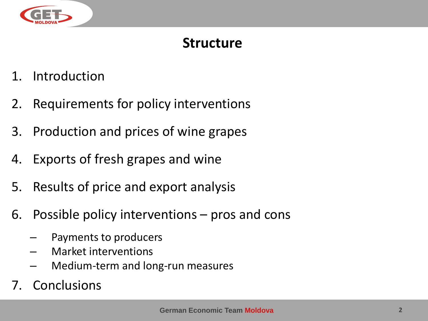

#### **Structure**

- 1. Introduction
- 2. Requirements for policy interventions
- 3. Production and prices of wine grapes
- 4. Exports of fresh grapes and wine
- 5. Results of price and export analysis
- 6. Possible policy interventions pros and cons
	- Payments to producers
	- Market interventions
	- Medium-term and long-run measures
- 7. Conclusions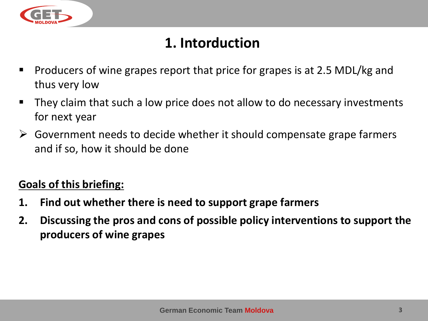

## **1. Intorduction**

- Producers of wine grapes report that price for grapes is at 2.5 MDL/kg and thus very low
- They claim that such a low price does not allow to do necessary investments for next year
- $\triangleright$  Government needs to decide whether it should compensate grape farmers and if so, how it should be done

#### **Goals of this briefing:**

- **1. Find out whether there is need to support grape farmers**
- **2. Discussing the pros and cons of possible policy interventions to support the producers of wine grapes**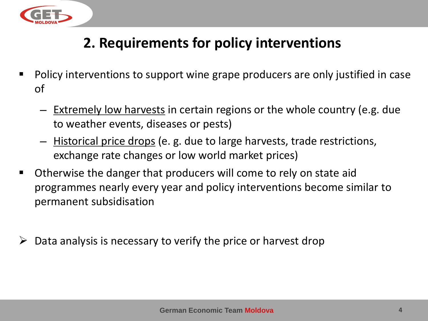

### **2. Requirements for policy interventions**

- Policy interventions to support wine grape producers are only justified in case of
	- Extremely low harvests in certain regions or the whole country (e.g. due to weather events, diseases or pests)
	- Historical price drops (e. g. due to large harvests, trade restrictions, exchange rate changes or low world market prices)
- Otherwise the danger that producers will come to rely on state aid programmes nearly every year and policy interventions become similar to permanent subsidisation
- $\triangleright$  Data analysis is necessary to verify the price or harvest drop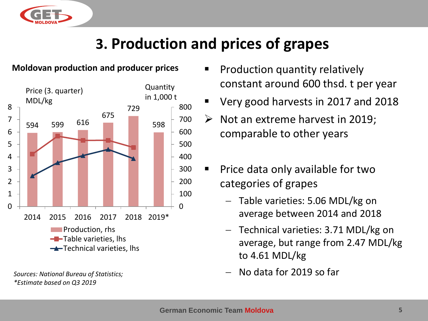

## **3. Production and prices of grapes**

#### **Moldovan production and producer prices**



*\*Estimate based on Q3 2019* 

- Production quantity relatively constant around 600 thsd. t per year
- Very good harvests in 2017 and 2018
- $\triangleright$  Not an extreme harvest in 2019; comparable to other years
- Price data only available for two categories of grapes
	- − Table varieties: 5.06 MDL/kg on average between 2014 and 2018
	- − Technical varieties: 3.71 MDL/kg on average, but range from 2.47 MDL/kg to 4.61 MDL/kg
- *Sources: National Bureau of Statistics;* − No data for 2019 so far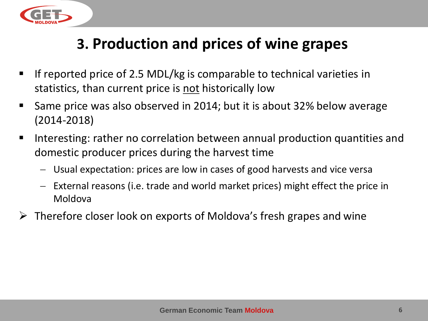

## **3. Production and prices of wine grapes**

- If reported price of 2.5 MDL/kg is comparable to technical varieties in statistics, than current price is not historically low
- Same price was also observed in 2014; but it is about 32% below average (2014-2018)
- Interesting: rather no correlation between annual production quantities and domestic producer prices during the harvest time
	- − Usual expectation: prices are low in cases of good harvests and vice versa
	- − External reasons (i.e. trade and world market prices) might effect the price in Moldova
- $\triangleright$  Therefore closer look on exports of Moldova's fresh grapes and wine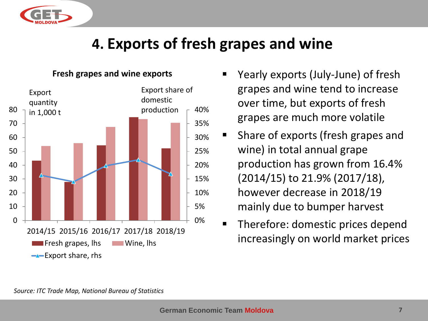

## **4. Exports of fresh grapes and wine**



#### **Fresh grapes and wine exports**

- Yearly exports (July-June) of fresh grapes and wine tend to increase over time, but exports of fresh grapes are much more volatile
- Share of exports (fresh grapes and wine) in total annual grape production has grown from 16.4% (2014/15) to 21.9% (2017/18), however decrease in 2018/19 mainly due to bumper harvest
	- Therefore: domestic prices depend increasingly on world market prices

*Source: ITC Trade Map, National Bureau of Statistics*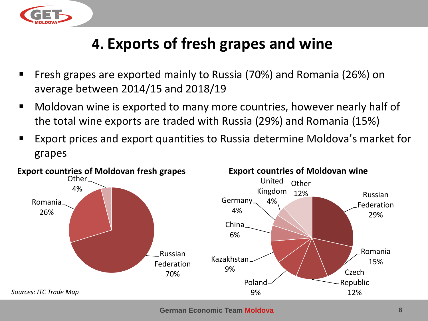

## **4. Exports of fresh grapes and wine**

- Fresh grapes are exported mainly to Russia (70%) and Romania (26%) on average between 2014/15 and 2018/19
- Moldovan wine is exported to many more countries, however nearly half of the total wine exports are traded with Russia (29%) and Romania (15%)
- Export prices and export quantities to Russia determine Moldova's market for grapes



**German Economic Team Moldova 8**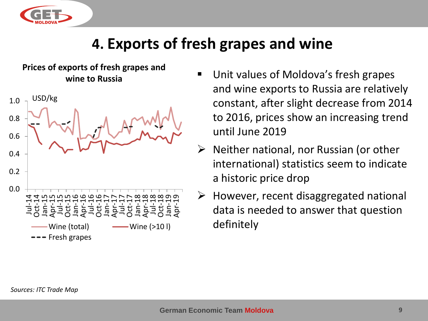

## **4. Exports of fresh grapes and wine**

**Prices of exports of fresh grapes and wine to Russia**



- Unit values of Moldova's fresh grapes and wine exports to Russia are relatively constant, after slight decrease from 2014 to 2016, prices show an increasing trend until June 2019
- $\triangleright$  Neither national, nor Russian (or other international) statistics seem to indicate a historic price drop
- $\triangleright$  However, recent disaggregated national data is needed to answer that question definitely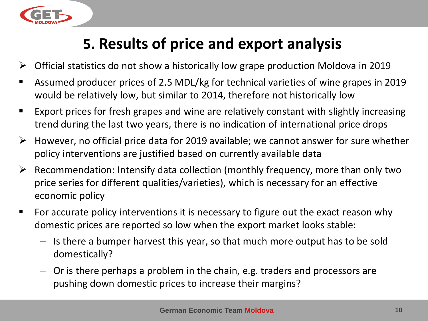

# **5. Results of price and export analysis**

- $\triangleright$  Official statistics do not show a historically low grape production Moldova in 2019
- Assumed producer prices of 2.5 MDL/kg for technical varieties of wine grapes in 2019 would be relatively low, but similar to 2014, therefore not historically low
- Export prices for fresh grapes and wine are relatively constant with slightly increasing trend during the last two years, there is no indication of international price drops
- $\triangleright$  However, no official price data for 2019 available; we cannot answer for sure whether policy interventions are justified based on currently available data
- $\triangleright$  Recommendation: Intensify data collection (monthly frequency, more than only two price series for different qualities/varieties), which is necessary for an effective economic policy
- For accurate policy interventions it is necessary to figure out the exact reason why domestic prices are reported so low when the export market looks stable:
	- − Is there a bumper harvest this year, so that much more output has to be sold domestically?
	- − Or is there perhaps a problem in the chain, e.g. traders and processors are pushing down domestic prices to increase their margins?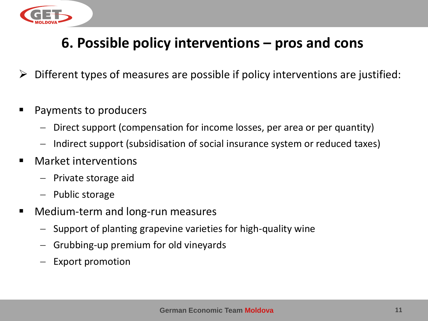

- $\triangleright$  Different types of measures are possible if policy interventions are justified:
- Payments to producers
	- − Direct support (compensation for income losses, per area or per quantity)
	- − Indirect support (subsidisation of social insurance system or reduced taxes)
- Market interventions
	- − Private storage aid
	- − Public storage
- Medium-term and long-run measures
	- − Support of planting grapevine varieties for high-quality wine
	- − Grubbing-up premium for old vineyards
	- Export promotion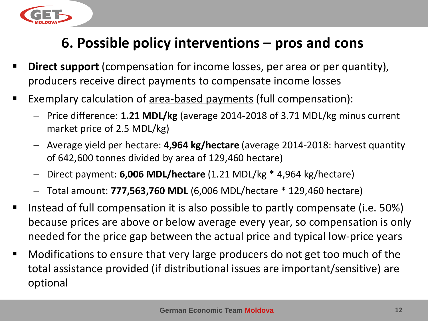

- **Direct support** (compensation for income losses, per area or per quantity), producers receive direct payments to compensate income losses
- Exemplary calculation of <u>area-based payments</u> (full compensation):
	- − Price difference: **1.21 MDL/kg** (average 2014-2018 of 3.71 MDL/kg minus current market price of 2.5 MDL/kg)
	- − Average yield per hectare: **4,964 kg/hectare** (average 2014-2018: harvest quantity of 642,600 tonnes divided by area of 129,460 hectare)
	- − Direct payment: **6,006 MDL/hectare** (1.21 MDL/kg \* 4,964 kg/hectare)
	- − Total amount: **777,563,760 MDL** (6,006 MDL/hectare \* 129,460 hectare)
- Instead of full compensation it is also possible to partly compensate (i.e. 50%) because prices are above or below average every year, so compensation is only needed for the price gap between the actual price and typical low-price years
- Modifications to ensure that very large producers do not get too much of the total assistance provided (if distributional issues are important/sensitive) are optional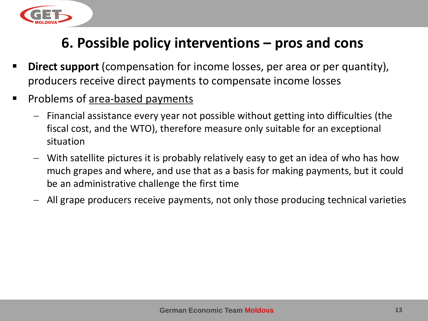

- **Direct support** (compensation for income losses, per area or per quantity), producers receive direct payments to compensate income losses
- Problems of area-based payments
	- − Financial assistance every year not possible without getting into difficulties (the fiscal cost, and the WTO), therefore measure only suitable for an exceptional situation
	- − With satellite pictures it is probably relatively easy to get an idea of who has how much grapes and where, and use that as a basis for making payments, but it could be an administrative challenge the first time
	- − All grape producers receive payments, not only those producing technical varieties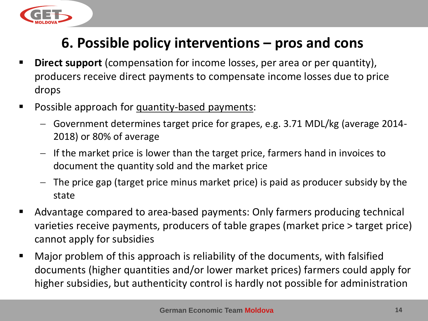

- **EXTE:** Direct support (compensation for income losses, per area or per quantity), producers receive direct payments to compensate income losses due to price drops
- Possible approach for quantity-based payments:
	- − Government determines target price for grapes, e.g. 3.71 MDL/kg (average 2014- 2018) or 80% of average
	- − If the market price is lower than the target price, farmers hand in invoices to document the quantity sold and the market price
	- − The price gap (target price minus market price) is paid as producer subsidy by the state
- Advantage compared to area-based payments: Only farmers producing technical varieties receive payments, producers of table grapes (market price > target price) cannot apply for subsidies
- Major problem of this approach is reliability of the documents, with falsified documents (higher quantities and/or lower market prices) farmers could apply for higher subsidies, but authenticity control is hardly not possible for administration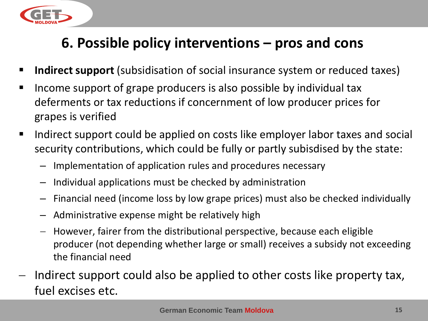

- **Indirect support** (subsidisation of social insurance system or reduced taxes)
- Income support of grape producers is also possible by individual tax deferments or tax reductions if concernment of low producer prices for grapes is verified
- Indirect support could be applied on costs like employer labor taxes and social security contributions, which could be fully or partly subisdised by the state:
	- Implementation of application rules and procedures necessary
	- Individual applications must be checked by administration
	- Financial need (income loss by low grape prices) must also be checked individually
	- Administrative expense might be relatively high
	- − However, fairer from the distributional perspective, because each eligible producer (not depending whether large or small) receives a subsidy not exceeding the financial need
- Indirect support could also be applied to other costs like property tax, fuel excises etc.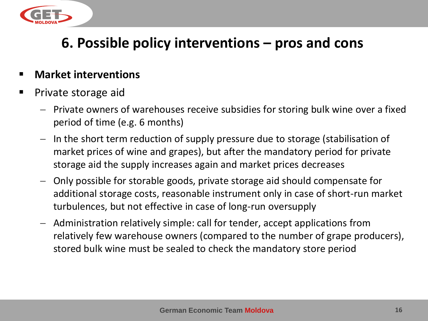

- **Market interventions**
- Private storage aid
	- − Private owners of warehouses receive subsidies for storing bulk wine over a fixed period of time (e.g. 6 months)
	- − In the short term reduction of supply pressure due to storage (stabilisation of market prices of wine and grapes), but after the mandatory period for private storage aid the supply increases again and market prices decreases
	- − Only possible for storable goods, private storage aid should compensate for additional storage costs, reasonable instrument only in case of short-run market turbulences, but not effective in case of long-run oversupply
	- − Administration relatively simple: call for tender, accept applications from relatively few warehouse owners (compared to the number of grape producers), stored bulk wine must be sealed to check the mandatory store period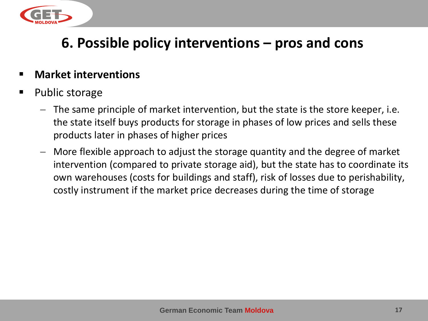

#### **Market interventions**

- Public storage
	- − The same principle of market intervention, but the state is the store keeper, i.e. the state itself buys products for storage in phases of low prices and sells these products later in phases of higher prices
	- − More flexible approach to adjust the storage quantity and the degree of market intervention (compared to private storage aid), but the state has to coordinate its own warehouses (costs for buildings and staff), risk of losses due to perishability, costly instrument if the market price decreases during the time of storage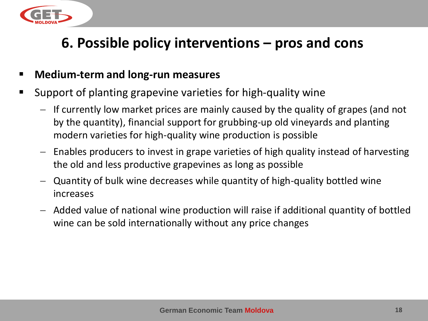

#### ▪ **Medium-term and long-run measures**

- Support of planting grapevine varieties for high-quality wine
	- − If currently low market prices are mainly caused by the quality of grapes (and not by the quantity), financial support for grubbing-up old vineyards and planting modern varieties for high-quality wine production is possible
	- − Enables producers to invest in grape varieties of high quality instead of harvesting the old and less productive grapevines as long as possible
	- − Quantity of bulk wine decreases while quantity of high-quality bottled wine increases
	- − Added value of national wine production will raise if additional quantity of bottled wine can be sold internationally without any price changes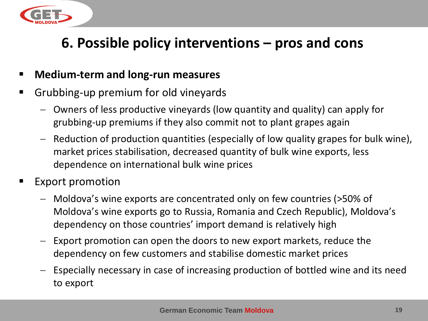

#### ▪ **Medium-term and long-run measures**

- Grubbing-up premium for old vineyards
	- − Owners of less productive vineyards (low quantity and quality) can apply for grubbing-up premiums if they also commit not to plant grapes again
	- − Reduction of production quantities (especially of low quality grapes for bulk wine), market prices stabilisation, decreased quantity of bulk wine exports, less dependence on international bulk wine prices
- Export promotion
	- − Moldova's wine exports are concentrated only on few countries (>50% of Moldova's wine exports go to Russia, Romania and Czech Republic), Moldova's dependency on those countries' import demand is relatively high
	- − Export promotion can open the doors to new export markets, reduce the dependency on few customers and stabilise domestic market prices
	- − Especially necessary in case of increasing production of bottled wine and its need to export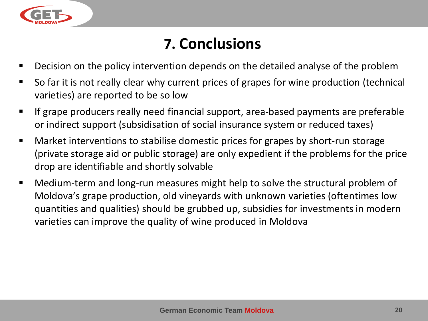

## **7. Conclusions**

- Decision on the policy intervention depends on the detailed analyse of the problem
- So far it is not really clear why current prices of grapes for wine production (technical varieties) are reported to be so low
- **EXPEDE FIGHTS IF Ally Field Francial support, area-based payments are preferable** or indirect support (subsidisation of social insurance system or reduced taxes)
- Market interventions to stabilise domestic prices for grapes by short-run storage (private storage aid or public storage) are only expedient if the problems for the price drop are identifiable and shortly solvable
- Medium-term and long-run measures might help to solve the structural problem of Moldova's grape production, old vineyards with unknown varieties (oftentimes low quantities and qualities) should be grubbed up, subsidies for investments in modern varieties can improve the quality of wine produced in Moldova